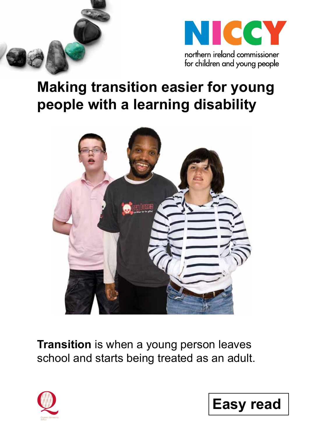



# **Making transition easier for young people with a learning disability**



**Transition** is when a young person leaves school and starts being treated as an adult.



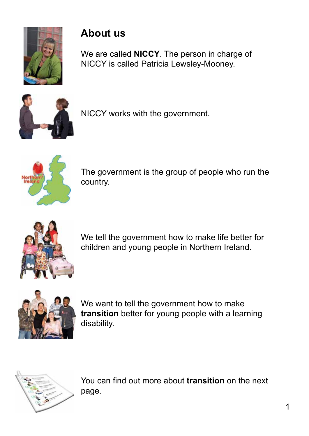

## **About us**

We are called **NICCY**. The person in charge of NICCY is called Patricia Lewsley-Mooney.



NICCY works with the government.



The government is the group of people who run the country.



We tell the government how to make life better for children and young people in Northern Ireland.



We want to tell the government how to make **transition** better for young people with a learning disability.



You can find out more about **transition** on the next page.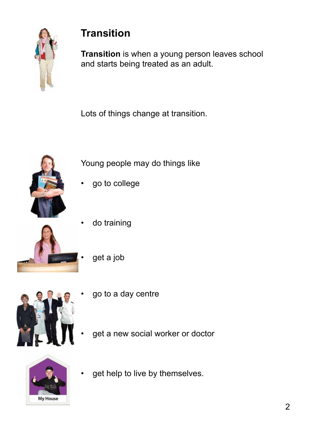

## **Transition**

**Transition** is when a young person leaves school and starts being treated as an adult.

Lots of things change at transition.



Young people may do things like

- go to college
- do training
	- get a job



- go to a day centre
- get a new social worker or doctor



get help to live by themselves.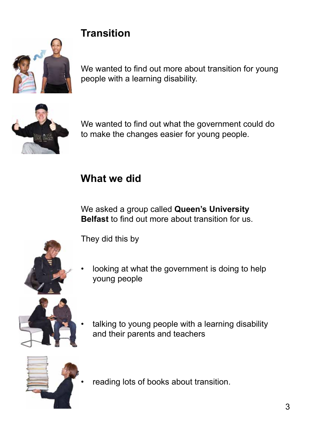## **Transition**



We wanted to find out more about transition for young people with a learning disability.



We wanted to find out what the government could do to make the changes easier for young people.

## **What we did**

We asked a group called **Queen's University Belfast** to find out more about transition for us.

They did this by

looking at what the government is doing to help young people



talking to young people with a learning disability and their parents and teachers



• reading lots of books about transition.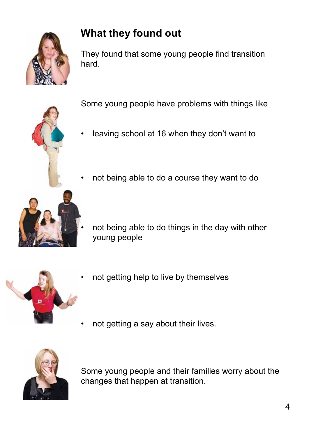

## **What they found out**

They found that some young people find transition hard.

Some young people have problems with things like

- leaving school at 16 when they don't want to
- not being able to do a course they want to do



not being able to do things in the day with other young people



- not getting help to live by themselves
- not getting a say about their lives.



Some young people and their families worry about the changes that happen at transition.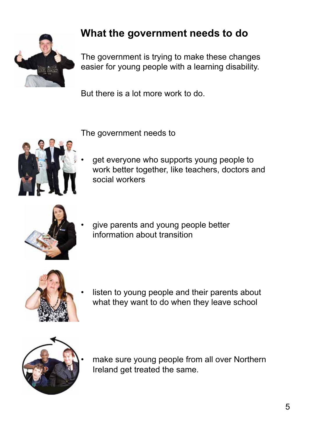

## **What the government needs to do**

The government is trying to make these changes easier for young people with a learning disability.

But there is a lot more work to do.

The government needs to



get everyone who supports young people to work better together, like teachers, doctors and social workers



give parents and young people better information about transition



listen to young people and their parents about what they want to do when they leave school



make sure young people from all over Northern Ireland get treated the same.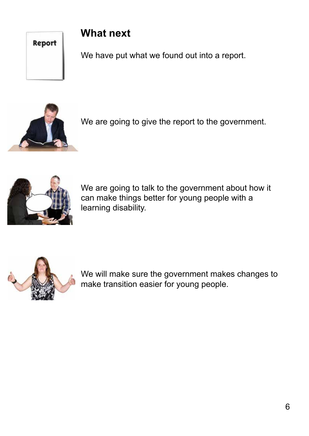#### Report

### **What next**

We have put what we found out into a report.



We are going to give the report to the government.



We are going to talk to the government about how it can make things better for young people with a learning disability.



We will make sure the government makes changes to make transition easier for young people.